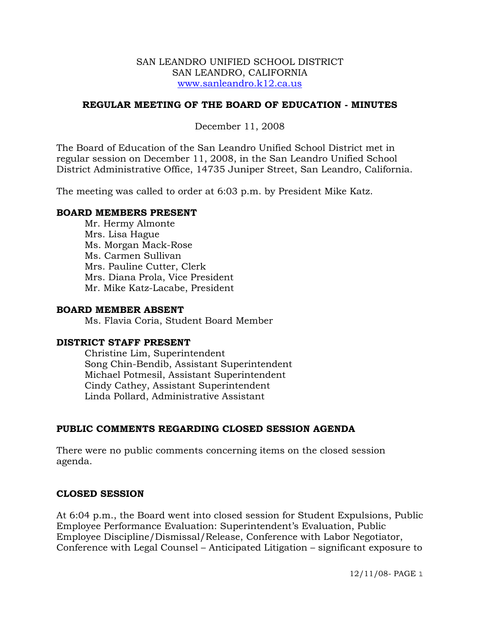#### SAN LEANDRO UNIFIED SCHOOL DISTRICT SAN LEANDRO, CALIFORNIA www.sanleandro.k12.ca.us

## **REGULAR MEETING OF THE BOARD OF EDUCATION - MINUTES**

December 11, 2008

The Board of Education of the San Leandro Unified School District met in regular session on December 11, 2008, in the San Leandro Unified School District Administrative Office, 14735 Juniper Street, San Leandro, California.

The meeting was called to order at 6:03 p.m. by President Mike Katz.

#### **BOARD MEMBERS PRESENT**

Mr. Hermy Almonte Mrs. Lisa Hague Ms. Morgan Mack-Rose Ms. Carmen Sullivan Mrs. Pauline Cutter, Clerk Mrs. Diana Prola, Vice President Mr. Mike Katz-Lacabe, President

## **BOARD MEMBER ABSENT**

Ms. Flavia Coria, Student Board Member

#### **DISTRICT STAFF PRESENT**

Christine Lim, Superintendent Song Chin-Bendib, Assistant Superintendent Michael Potmesil, Assistant Superintendent Cindy Cathey, Assistant Superintendent Linda Pollard, Administrative Assistant

# **PUBLIC COMMENTS REGARDING CLOSED SESSION AGENDA**

There were no public comments concerning items on the closed session agenda.

#### **CLOSED SESSION**

At 6:04 p.m., the Board went into closed session for Student Expulsions, Public Employee Performance Evaluation: Superintendent's Evaluation, Public Employee Discipline/Dismissal/Release, Conference with Labor Negotiator, Conference with Legal Counsel – Anticipated Litigation – significant exposure to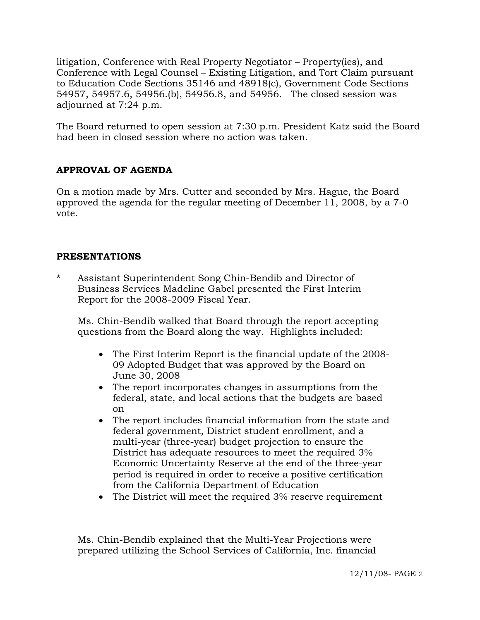litigation, Conference with Real Property Negotiator – Property(ies), and Conference with Legal Counsel – Existing Litigation, and Tort Claim pursuant to Education Code Sections 35146 and 48918(c), Government Code Sections 54957, 54957.6, 54956.(b), 54956.8, and 54956. The closed session was adjourned at 7:24 p.m.

The Board returned to open session at 7:30 p.m. President Katz said the Board had been in closed session where no action was taken.

# **APPROVAL OF AGENDA**

On a motion made by Mrs. Cutter and seconded by Mrs. Hague, the Board approved the agenda for the regular meeting of December 11, 2008, by a 7-0 vote.

# **PRESENTATIONS**

Assistant Superintendent Song Chin-Bendib and Director of Business Services Madeline Gabel presented the First Interim Report for the 2008-2009 Fiscal Year.

 Ms. Chin-Bendib walked that Board through the report accepting questions from the Board along the way. Highlights included:

- The First Interim Report is the financial update of the 2008- 09 Adopted Budget that was approved by the Board on June 30, 2008
- The report incorporates changes in assumptions from the federal, state, and local actions that the budgets are based on
- The report includes financial information from the state and federal government, District student enrollment, and a multi-year (three-year) budget projection to ensure the District has adequate resources to meet the required 3% Economic Uncertainty Reserve at the end of the three-year period is required in order to receive a positive certification from the California Department of Education
- The District will meet the required 3% reserve requirement

 Ms. Chin-Bendib explained that the Multi-Year Projections were prepared utilizing the School Services of California, Inc. financial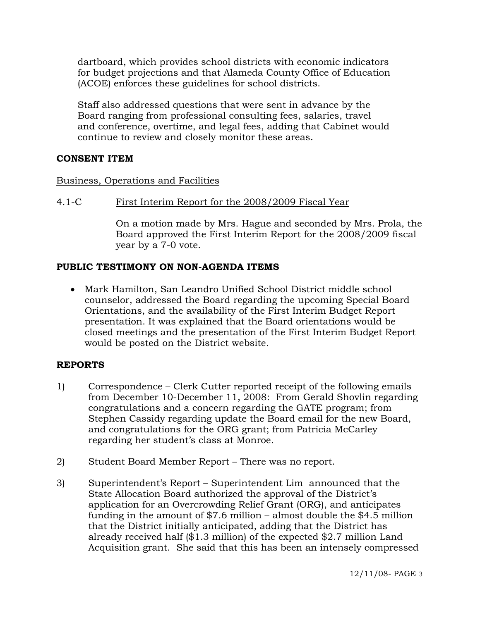dartboard, which provides school districts with economic indicators for budget projections and that Alameda County Office of Education (ACOE) enforces these guidelines for school districts.

 Staff also addressed questions that were sent in advance by the Board ranging from professional consulting fees, salaries, travel and conference, overtime, and legal fees, adding that Cabinet would continue to review and closely monitor these areas.

# **CONSENT ITEM**

#### Business, Operations and Facilities

### 4.1-C First Interim Report for the 2008/2009 Fiscal Year

On a motion made by Mrs. Hague and seconded by Mrs. Prola, the Board approved the First Interim Report for the 2008/2009 fiscal year by a 7-0 vote.

# **PUBLIC TESTIMONY ON NON-AGENDA ITEMS**

• Mark Hamilton, San Leandro Unified School District middle school counselor, addressed the Board regarding the upcoming Special Board Orientations, and the availability of the First Interim Budget Report presentation. It was explained that the Board orientations would be closed meetings and the presentation of the First Interim Budget Report would be posted on the District website.

# **REPORTS**

- 1) Correspondence Clerk Cutter reported receipt of the following emails from December 10-December 11, 2008: From Gerald Shovlin regarding congratulations and a concern regarding the GATE program; from Stephen Cassidy regarding update the Board email for the new Board, and congratulations for the ORG grant; from Patricia McCarley regarding her student's class at Monroe.
- 2) Student Board Member Report There was no report.
- 3) Superintendent's Report Superintendent Lim announced that the State Allocation Board authorized the approval of the District's application for an Overcrowding Relief Grant (ORG), and anticipates funding in the amount of \$7.6 million – almost double the \$4.5 million that the District initially anticipated, adding that the District has already received half (\$1.3 million) of the expected \$2.7 million Land Acquisition grant. She said that this has been an intensely compressed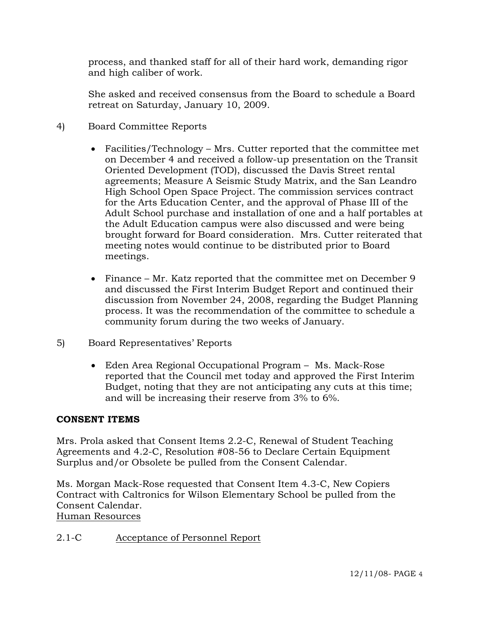process, and thanked staff for all of their hard work, demanding rigor and high caliber of work.

She asked and received consensus from the Board to schedule a Board retreat on Saturday, January 10, 2009.

- 4) Board Committee Reports
	- Facilities/Technology Mrs. Cutter reported that the committee met on December 4 and received a follow-up presentation on the Transit Oriented Development (TOD), discussed the Davis Street rental agreements; Measure A Seismic Study Matrix, and the San Leandro High School Open Space Project. The commission services contract for the Arts Education Center, and the approval of Phase III of the Adult School purchase and installation of one and a half portables at the Adult Education campus were also discussed and were being brought forward for Board consideration. Mrs. Cutter reiterated that meeting notes would continue to be distributed prior to Board meetings.
	- Finance Mr. Katz reported that the committee met on December 9 and discussed the First Interim Budget Report and continued their discussion from November 24, 2008, regarding the Budget Planning process. It was the recommendation of the committee to schedule a community forum during the two weeks of January.
- 5) Board Representatives' Reports
	- Eden Area Regional Occupational Program Ms. Mack-Rose reported that the Council met today and approved the First Interim Budget, noting that they are not anticipating any cuts at this time; and will be increasing their reserve from 3% to 6%.

# **CONSENT ITEMS**

Mrs. Prola asked that Consent Items 2.2-C, Renewal of Student Teaching Agreements and 4.2-C, Resolution #08-56 to Declare Certain Equipment Surplus and/or Obsolete be pulled from the Consent Calendar.

Ms. Morgan Mack-Rose requested that Consent Item 4.3-C, New Copiers Contract with Caltronics for Wilson Elementary School be pulled from the Consent Calendar.

# Human Resources

2.1-C Acceptance of Personnel Report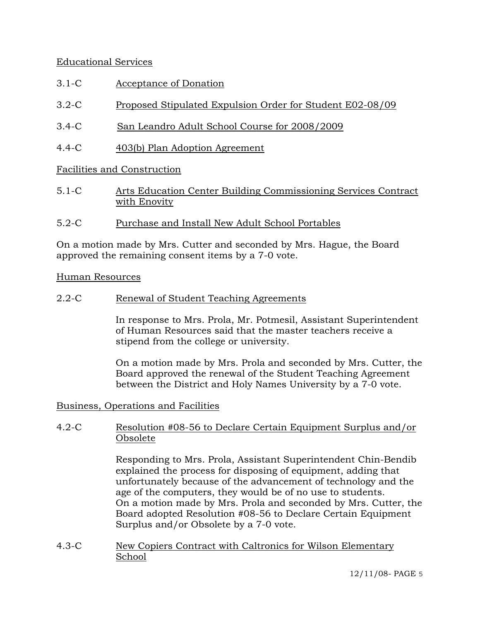# Educational Services

- 3.1-C Acceptance of Donation
- 3.2-C Proposed Stipulated Expulsion Order for Student E02-08/09
- 3.4-C San Leandro Adult School Course for 2008/2009
- 4.4-C 403(b) Plan Adoption Agreement

# Facilities and Construction

- 5.1-C Arts Education Center Building Commissioning Services Contract with Enovity
- 5.2-C Purchase and Install New Adult School Portables

On a motion made by Mrs. Cutter and seconded by Mrs. Hague, the Board approved the remaining consent items by a 7-0 vote.

#### Human Resources

2.2-C Renewal of Student Teaching Agreements

In response to Mrs. Prola, Mr. Potmesil, Assistant Superintendent of Human Resources said that the master teachers receive a stipend from the college or university.

On a motion made by Mrs. Prola and seconded by Mrs. Cutter, the Board approved the renewal of the Student Teaching Agreement between the District and Holy Names University by a 7-0 vote.

#### Business, Operations and Facilities

### 4.2-C Resolution #08-56 to Declare Certain Equipment Surplus and/or Obsolete

Responding to Mrs. Prola, Assistant Superintendent Chin-Bendib explained the process for disposing of equipment, adding that unfortunately because of the advancement of technology and the age of the computers, they would be of no use to students. On a motion made by Mrs. Prola and seconded by Mrs. Cutter, the Board adopted Resolution #08-56 to Declare Certain Equipment Surplus and/or Obsolete by a 7-0 vote.

4.3-C New Copiers Contract with Caltronics for Wilson Elementary School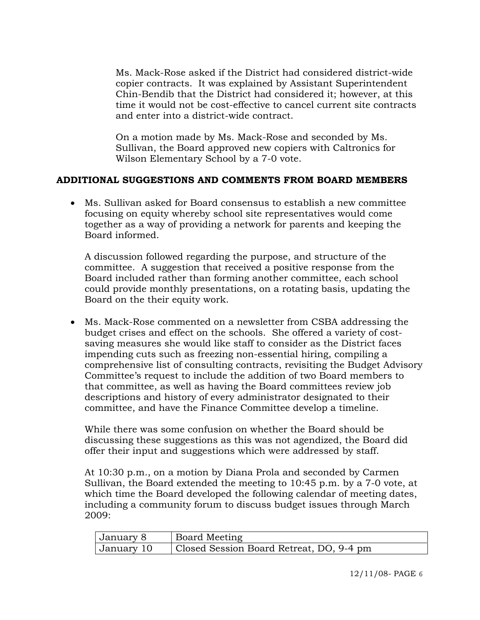Ms. Mack-Rose asked if the District had considered district-wide copier contracts. It was explained by Assistant Superintendent Chin-Bendib that the District had considered it; however, at this time it would not be cost-effective to cancel current site contracts and enter into a district-wide contract.

On a motion made by Ms. Mack-Rose and seconded by Ms. Sullivan, the Board approved new copiers with Caltronics for Wilson Elementary School by a 7-0 vote.

# **ADDITIONAL SUGGESTIONS AND COMMENTS FROM BOARD MEMBERS**

• Ms. Sullivan asked for Board consensus to establish a new committee focusing on equity whereby school site representatives would come together as a way of providing a network for parents and keeping the Board informed.

A discussion followed regarding the purpose, and structure of the committee. A suggestion that received a positive response from the Board included rather than forming another committee, each school could provide monthly presentations, on a rotating basis, updating the Board on the their equity work.

• Ms. Mack-Rose commented on a newsletter from CSBA addressing the budget crises and effect on the schools. She offered a variety of costsaving measures she would like staff to consider as the District faces impending cuts such as freezing non-essential hiring, compiling a comprehensive list of consulting contracts, revisiting the Budget Advisory Committee's request to include the addition of two Board members to that committee, as well as having the Board committees review job descriptions and history of every administrator designated to their committee, and have the Finance Committee develop a timeline.

While there was some confusion on whether the Board should be discussing these suggestions as this was not agendized, the Board did offer their input and suggestions which were addressed by staff.

At 10:30 p.m., on a motion by Diana Prola and seconded by Carmen Sullivan, the Board extended the meeting to 10:45 p.m. by a 7-0 vote, at which time the Board developed the following calendar of meeting dates, including a community forum to discuss budget issues through March 2009:

| January 8  | <b>Board Meeting</b>                     |
|------------|------------------------------------------|
| January 10 | Closed Session Board Retreat, DO, 9-4 pm |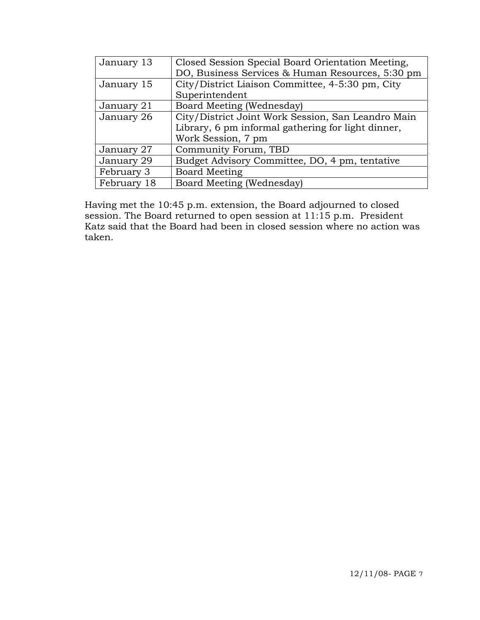| January 13  | Closed Session Special Board Orientation Meeting,  |
|-------------|----------------------------------------------------|
|             | DO, Business Services & Human Resources, 5:30 pm   |
| January 15  | City/District Liaison Committee, 4-5:30 pm, City   |
|             | Superintendent                                     |
| January 21  | Board Meeting (Wednesday)                          |
| January 26  | City/District Joint Work Session, San Leandro Main |
|             | Library, 6 pm informal gathering for light dinner, |
|             | Work Session, 7 pm                                 |
| January 27  | Community Forum, TBD                               |
| January 29  | Budget Advisory Committee, DO, 4 pm, tentative     |
| February 3  | <b>Board Meeting</b>                               |
| February 18 | Board Meeting (Wednesday)                          |

Having met the 10:45 p.m. extension, the Board adjourned to closed session. The Board returned to open session at 11:15 p.m. President Katz said that the Board had been in closed session where no action was taken.